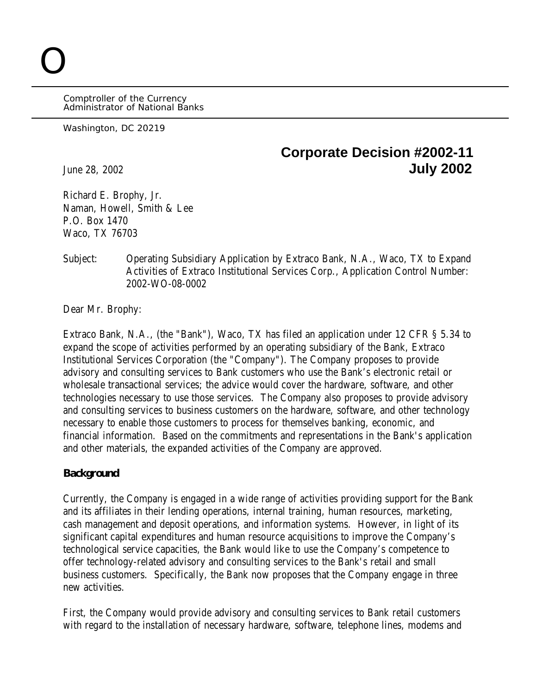Comptroller of the Currency Administrator of National Banks

Washington, DC 20219

O

## **Corporate Decision #2002-11** June 28, 2002 **July 2002**

Richard E. Brophy, Jr. Naman, Howell, Smith & Lee P.O. Box 1470 Waco, TX 76703

Subject: Operating Subsidiary Application by Extraco Bank, N.A., Waco, TX to Expand Activities of Extraco Institutional Services Corp., Application Control Number: 2002-WO-08-0002

Dear Mr. Brophy:

Extraco Bank, N.A., (the "Bank"), Waco, TX has filed an application under 12 CFR § 5.34 to expand the scope of activities performed by an operating subsidiary of the Bank, Extraco Institutional Services Corporation (the "Company"). The Company proposes to provide advisory and consulting services to Bank customers who use the Bank's electronic retail or wholesale transactional services; the advice would cover the hardware, software, and other technologies necessary to use those services. The Company also proposes to provide advisory and consulting services to business customers on the hardware, software, and other technology necessary to enable those customers to process for themselves banking, economic, and financial information. Based on the commitments and representations in the Bank's application and other materials, the expanded activities of the Company are approved.

## **Background**

Currently, the Company is engaged in a wide range of activities providing support for the Bank and its affiliates in their lending operations, internal training, human resources, marketing, cash management and deposit operations, and information systems. However, in light of its significant capital expenditures and human resource acquisitions to improve the Company's technological service capacities, the Bank would like to use the Company's competence to offer technology-related advisory and consulting services to the Bank's retail and small business customers. Specifically, the Bank now proposes that the Company engage in three new activities.

First, the Company would provide advisory and consulting services to Bank retail customers with regard to the installation of necessary hardware, software, telephone lines, modems and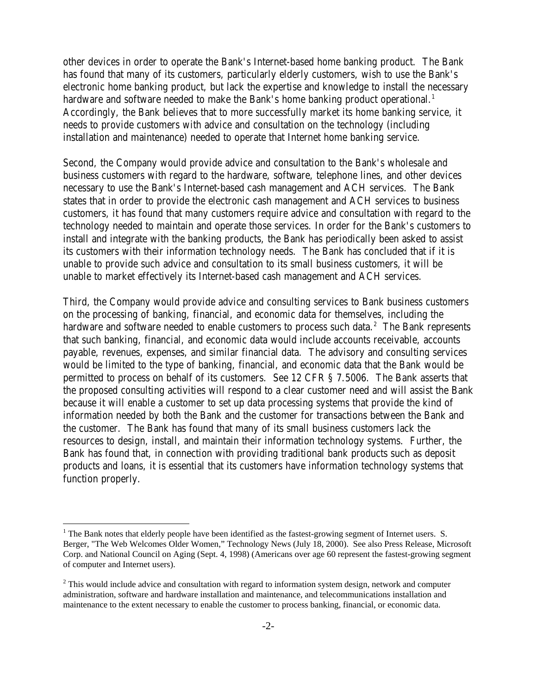other devices in order to operate the Bank's Internet-based home banking product. The Bank has found that many of its customers, particularly elderly customers, wish to use the Bank's electronic home banking product, but lack the expertise and knowledge to install the necessary hardware and software needed to make the Bank's home banking product operational.<sup>1</sup> Accordingly, the Bank believes that to more successfully market its home banking service, it needs to provide customers with advice and consultation on the technology (including installation and maintenance) needed to operate that Internet home banking service.

Second, the Company would provide advice and consultation to the Bank's wholesale and business customers with regard to the hardware, software, telephone lines, and other devices necessary to use the Bank's Internet-based cash management and ACH services. The Bank states that in order to provide the electronic cash management and ACH services to business customers, it has found that many customers require advice and consultation with regard to the technology needed to maintain and operate those services. In order for the Bank's customers to install and integrate with the banking products, the Bank has periodically been asked to assist its customers with their information technology needs. The Bank has concluded that if it is unable to provide such advice and consultation to its small business customers, it will be unable to market effectively its Internet-based cash management and ACH services.

Third, the Company would provide advice and consulting services to Bank business customers on the processing of banking, financial, and economic data for themselves, including the hardware and software needed to enable customers to process such data. $^2\,$  The Bank represents that such banking, financial, and economic data would include accounts receivable, accounts payable, revenues, expenses, and similar financial data. The advisory and consulting services would be limited to the type of banking, financial, and economic data that the Bank would be permitted to process on behalf of its customers. See 12 CFR § 7.5006. The Bank asserts that the proposed consulting activities will respond to a clear customer need and will assist the Bank because it will enable a customer to set up data processing systems that provide the kind of information needed by both the Bank and the customer for transactions between the Bank and the customer. The Bank has found that many of its small business customers lack the resources to design, install, and maintain their information technology systems. Further, the Bank has found that, in connection with providing traditional bank products such as deposit products and loans, it is essential that its customers have information technology systems that function properly.

 $\overline{a}$ 

<sup>&</sup>lt;sup>1</sup> The Bank notes that elderly people have been identified as the fastest-growing segment of Internet users. S. Berger, "The Web Welcomes Older Women," Technology News (July 18, 2000). See also Press Release, Microsoft Corp. and National Council on Aging (Sept. 4, 1998) (Americans over age 60 represent the fastest-growing segment of computer and Internet users).

 $2$  This would include advice and consultation with regard to information system design, network and computer administration, software and hardware installation and maintenance, and telecommunications installation and maintenance to the extent necessary to enable the customer to process banking, financial, or economic data.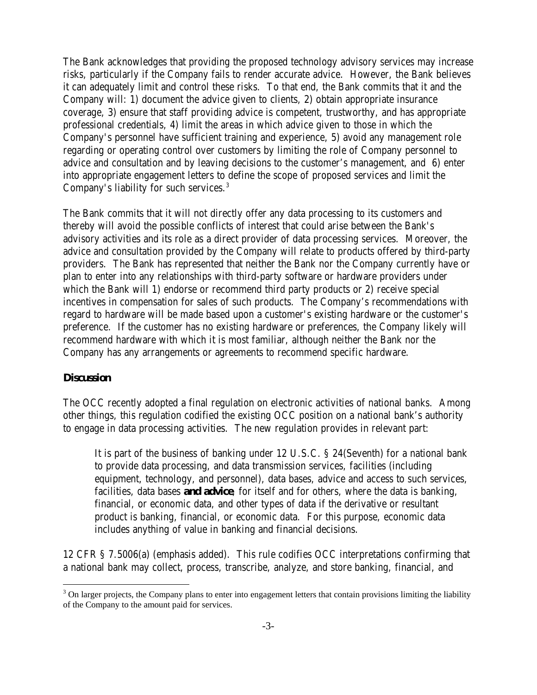The Bank acknowledges that providing the proposed technology advisory services may increase risks, particularly if the Company fails to render accurate advice. However, the Bank believes it can adequately limit and control these risks. To that end, the Bank commits that it and the Company will: 1) document the advice given to clients, 2) obtain appropriate insurance coverage, 3) ensure that staff providing advice is competent, trustworthy, and has appropriate professional credentials, 4) limit the areas in which advice given to those in which the Company's personnel have sufficient training and experience, 5) avoid any management role regarding or operating control over customers by limiting the role of Company personnel to advice and consultation and by leaving decisions to the customer's management, and 6) enter into appropriate engagement letters to define the scope of proposed services and limit the Company's liability for such services.<sup>3</sup>

The Bank commits that it will not directly offer any data processing to its customers and thereby will avoid the possible conflicts of interest that could arise between the Bank's advisory activities and its role as a direct provider of data processing services. Moreover, the advice and consultation provided by the Company will relate to products offered by third-party providers. The Bank has represented that neither the Bank nor the Company currently have or plan to enter into any relationships with third-party software or hardware providers under which the Bank will 1) endorse or recommend third party products or 2) receive special incentives in compensation for sales of such products. The Company's recommendations with regard to hardware will be made based upon a customer's existing hardware or the customer's preference. If the customer has no existing hardware or preferences, the Company likely will recommend hardware with which it is most familiar, although neither the Bank nor the Company has any arrangements or agreements to recommend specific hardware.

## **Discussion**

 $\overline{a}$ 

The OCC recently adopted a final regulation on electronic activities of national banks. Among other things, this regulation codified the existing OCC position on a national bank's authority to engage in data processing activities. The new regulation provides in relevant part:

It is part of the business of banking under 12 U.S.C. § 24(Seventh) for a national bank to provide data processing, and data transmission services, facilities (including equipment, technology, and personnel), data bases, advice and access to such services, facilities, data bases **and advice**, for itself and for others, where the data is banking, financial, or economic data, and other types of data if the derivative or resultant product is banking, financial, or economic data. For this purpose, economic data includes anything of value in banking and financial decisions.

12 CFR § 7.5006(a) (emphasis added). This rule codifies OCC interpretations confirming that a national bank may collect, process, transcribe, analyze, and store banking, financial, and

 $3$  On larger projects, the Company plans to enter into engagement letters that contain provisions limiting the liability of the Company to the amount paid for services.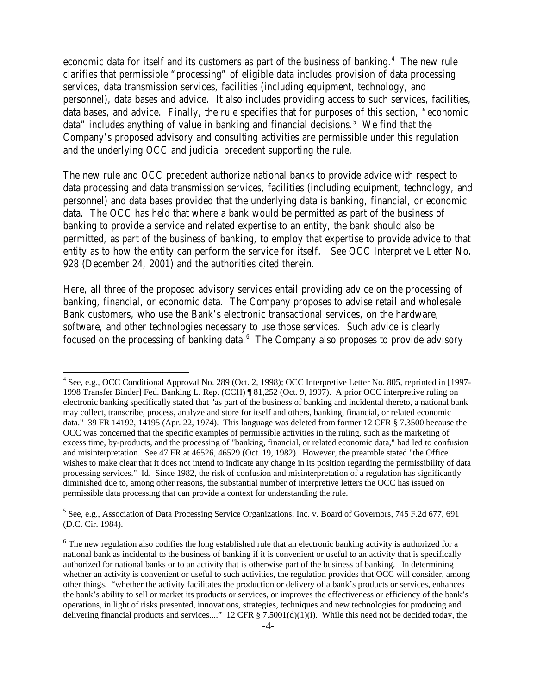economic data for itself and its customers as part of the business of banking.<sup>4</sup> The new rule clarifies that permissible "processing" of eligible data includes provision of data processing services, data transmission services, facilities (including equipment, technology, and personnel), data bases and advice. It also includes providing access to such services, facilities, data bases, and advice. Finally, the rule specifies that for purposes of this section, "economic data" includes anything of value in banking and financial decisions.<sup>5</sup> We find that the Company's proposed advisory and consulting activities are permissible under this regulation and the underlying OCC and judicial precedent supporting the rule.

The new rule and OCC precedent authorize national banks to provide advice with respect to data processing and data transmission services, facilities (including equipment, technology, and personnel) and data bases provided that the underlying data is banking, financial, or economic data. The OCC has held that where a bank would be permitted as part of the business of banking to provide a service and related expertise to an entity, the bank should also be permitted, as part of the business of banking, to employ that expertise to provide advice to that entity as to how the entity can perform the service for itself. See OCC Interpretive Letter No. 928 (December 24, 2001) and the authorities cited therein.

Here, all three of the proposed advisory services entail providing advice on the processing of banking, financial, or economic data. The Company proposes to advise retail and wholesale Bank customers, who use the Bank's electronic transactional services, on the hardware, software, and other technologies necessary to use those services. Such advice is clearly focused on the processing of banking data.<sup>6</sup> The Company also proposes to provide advisory

 $\overline{a}$ 

<sup>&</sup>lt;sup>4</sup> See, e.g., OCC Conditional Approval No. 289 (Oct. 2, 1998); OCC Interpretive Letter No. 805, reprinted in [1997-1998 Transfer Binder] Fed. Banking L. Rep. (CCH) ¶ 81,252 (Oct. 9, 1997). A prior OCC interpretive ruling on electronic banking specifically stated that "as part of the business of banking and incidental thereto, a national bank may collect, transcribe, process, analyze and store for itself and others, banking, financial, or related economic data." 39 FR 14192, 14195 (Apr. 22, 1974). This language was deleted from former 12 CFR § 7.3500 because the OCC was concerned that the specific examples of permissible activities in the ruling, such as the marketing of excess time, by-products, and the processing of "banking, financial, or related economic data," had led to confusion and misinterpretation. See 47 FR at 46526, 46529 (Oct. 19, 1982). However, the preamble stated "the Office wishes to make clear that it does not intend to indicate any change in its position regarding the permissibility of data processing services." Id. Since 1982, the risk of confusion and misinterpretation of a regulation has significantly diminished due to, among other reasons, the substantial number of interpretive letters the OCC has issued on permissible data processing that can provide a context for understanding the rule.

<sup>&</sup>lt;sup>5</sup> See, e.g., Association of Data Processing Service Organizations, Inc. v. Board of Governors, 745 F.2d 677, 691 (D.C. Cir. 1984).

 $6$  The new regulation also codifies the long established rule that an electronic banking activity is authorized for a national bank as incidental to the business of banking if it is convenient or useful to an activity that is specifically authorized for national banks or to an activity that is otherwise part of the business of banking. In determining whether an activity is convenient or useful to such activities, the regulation provides that OCC will consider, among other things, "whether the activity facilitates the production or delivery of a bank's products or services, enhances the bank's ability to sell or market its products or services, or improves the effectiveness or efficiency of the bank's operations, in light of risks presented, innovations, strategies, techniques and new technologies for producing and delivering financial products and services...." 12 CFR § 7.5001(d)(1)(i). While this need not be decided today, the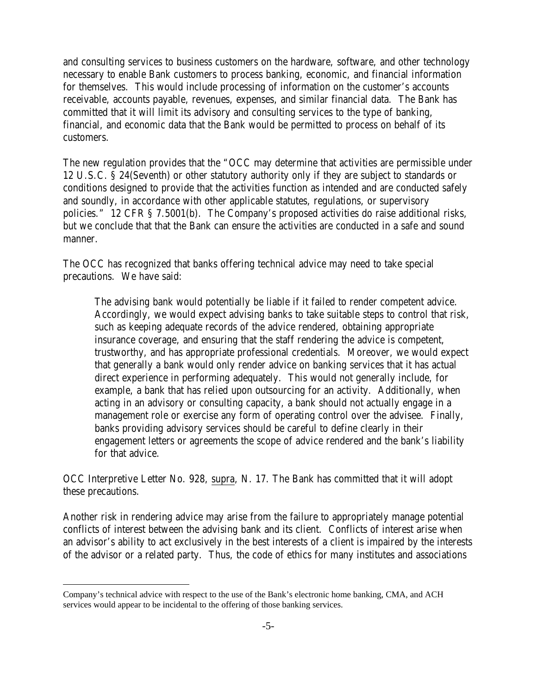and consulting services to business customers on the hardware, software, and other technology necessary to enable Bank customers to process banking, economic, and financial information for themselves. This would include processing of information on the customer's accounts receivable, accounts payable, revenues, expenses, and similar financial data. The Bank has committed that it will limit its advisory and consulting services to the type of banking, financial, and economic data that the Bank would be permitted to process on behalf of its customers.

The new regulation provides that the "OCC may determine that activities are permissible under 12 U.S.C. § 24(Seventh) or other statutory authority only if they are subject to standards or conditions designed to provide that the activities function as intended and are conducted safely and soundly, in accordance with other applicable statutes, regulations, or supervisory policies." 12 CFR § 7.5001(b). The Company's proposed activities do raise additional risks, but we conclude that that the Bank can ensure the activities are conducted in a safe and sound manner.

The OCC has recognized that banks offering technical advice may need to take special precautions. We have said:

The advising bank would potentially be liable if it failed to render competent advice. Accordingly, we would expect advising banks to take suitable steps to control that risk, such as keeping adequate records of the advice rendered, obtaining appropriate insurance coverage, and ensuring that the staff rendering the advice is competent, trustworthy, and has appropriate professional credentials. Moreover, we would expect that generally a bank would only render advice on banking services that it has actual direct experience in performing adequately. This would not generally include, for example, a bank that has relied upon outsourcing for an activity. Additionally, when acting in an advisory or consulting capacity, a bank should not actually engage in a management role or exercise any form of operating control over the advisee. Finally, banks providing advisory services should be careful to define clearly in their engagement letters or agreements the scope of advice rendered and the bank's liability for that advice.

OCC Interpretive Letter No. 928, supra, N. 17. The Bank has committed that it will adopt these precautions.

Another risk in rendering advice may arise from the failure to appropriately manage potential conflicts of interest between the advising bank and its client. Conflicts of interest arise when an advisor's ability to act exclusively in the best interests of a client is impaired by the interests of the advisor or a related party. Thus, the code of ethics for many institutes and associations

 $\overline{a}$ 

Company's technical advice with respect to the use of the Bank's electronic home banking, CMA, and ACH services would appear to be incidental to the offering of those banking services.